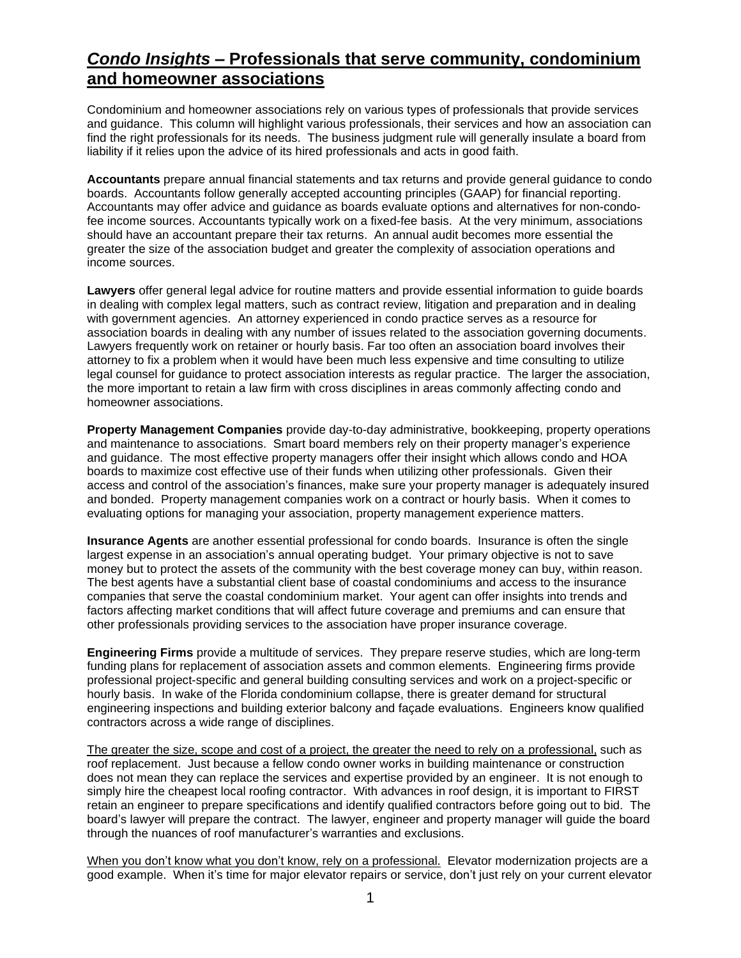## *Condo Insights* **– Professionals that serve community, condominium and homeowner associations**

Condominium and homeowner associations rely on various types of professionals that provide services and guidance. This column will highlight various professionals, their services and how an association can find the right professionals for its needs. The business judgment rule will generally insulate a board from liability if it relies upon the advice of its hired professionals and acts in good faith.

**Accountants** prepare annual financial statements and tax returns and provide general guidance to condo boards. Accountants follow generally accepted accounting principles (GAAP) for financial reporting. Accountants may offer advice and guidance as boards evaluate options and alternatives for non-condofee income sources. Accountants typically work on a fixed-fee basis. At the very minimum, associations should have an accountant prepare their tax returns. An annual audit becomes more essential the greater the size of the association budget and greater the complexity of association operations and income sources.

**Lawyers** offer general legal advice for routine matters and provide essential information to guide boards in dealing with complex legal matters, such as contract review, litigation and preparation and in dealing with government agencies. An attorney experienced in condo practice serves as a resource for association boards in dealing with any number of issues related to the association governing documents. Lawyers frequently work on retainer or hourly basis. Far too often an association board involves their attorney to fix a problem when it would have been much less expensive and time consulting to utilize legal counsel for guidance to protect association interests as regular practice. The larger the association, the more important to retain a law firm with cross disciplines in areas commonly affecting condo and homeowner associations.

**Property Management Companies** provide day-to-day administrative, bookkeeping, property operations and maintenance to associations. Smart board members rely on their property manager's experience and guidance. The most effective property managers offer their insight which allows condo and HOA boards to maximize cost effective use of their funds when utilizing other professionals. Given their access and control of the association's finances, make sure your property manager is adequately insured and bonded. Property management companies work on a contract or hourly basis. When it comes to evaluating options for managing your association, property management experience matters.

**Insurance Agents** are another essential professional for condo boards. Insurance is often the single largest expense in an association's annual operating budget. Your primary objective is not to save money but to protect the assets of the community with the best coverage money can buy, within reason. The best agents have a substantial client base of coastal condominiums and access to the insurance companies that serve the coastal condominium market. Your agent can offer insights into trends and factors affecting market conditions that will affect future coverage and premiums and can ensure that other professionals providing services to the association have proper insurance coverage.

**Engineering Firms** provide a multitude of services. They prepare reserve studies, which are long-term funding plans for replacement of association assets and common elements. Engineering firms provide professional project-specific and general building consulting services and work on a project-specific or hourly basis. In wake of the Florida condominium collapse, there is greater demand for structural engineering inspections and building exterior balcony and façade evaluations. Engineers know qualified contractors across a wide range of disciplines.

The greater the size, scope and cost of a project, the greater the need to rely on a professional, such as roof replacement. Just because a fellow condo owner works in building maintenance or construction does not mean they can replace the services and expertise provided by an engineer. It is not enough to simply hire the cheapest local roofing contractor. With advances in roof design, it is important to FIRST retain an engineer to prepare specifications and identify qualified contractors before going out to bid. The board's lawyer will prepare the contract. The lawyer, engineer and property manager will guide the board through the nuances of roof manufacturer's warranties and exclusions.

When you don't know what you don't know, rely on a professional. Elevator modernization projects are a good example. When it's time for major elevator repairs or service, don't just rely on your current elevator